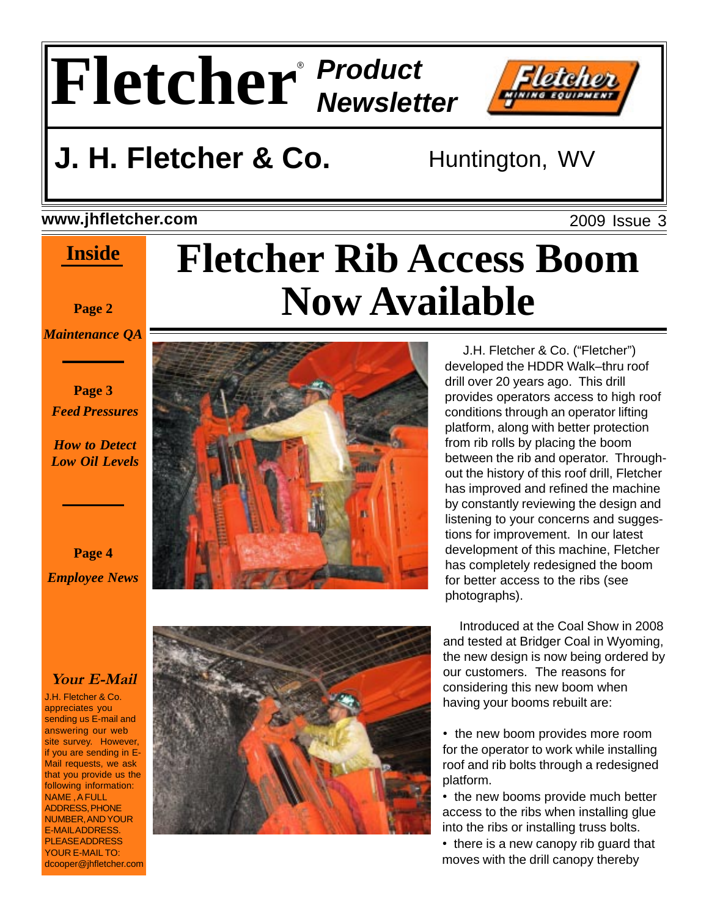

### **www.jhfletcher.com**

### **Inside**

**Page 2**

*Maintenance QA*

#### **Page 3** *Feed Pressures*

*How to Detect Low Oil Levels*

**Page 4** *Employee News*

### **Your E-Mail**

J.H. Fletcher & Co. appreciates you sending us E-mail and answering our web site survey. However, if you are sending in E-Mail requests, we ask that you provide us the following information: NAME , A FULL ADDRESS, PHONE NUMBER, AND YOUR E-MAIL ADDRESS. PLEASE ADDRESS YOUR E-MAIL TO: dcooper@jhfletcher.com

# **Fletcher Rib Access Boom Now Available**





 J.H. Fletcher & Co. ("Fletcher") developed the HDDR Walk–thru roof drill over 20 years ago. This drill provides operators access to high roof conditions through an operator lifting platform, along with better protection from rib rolls by placing the boom between the rib and operator. Throughout the history of this roof drill, Fletcher has improved and refined the machine by constantly reviewing the design and listening to your concerns and suggestions for improvement. In our latest development of this machine, Fletcher has completely redesigned the boom for better access to the ribs (see photographs).

 Introduced at the Coal Show in 2008 and tested at Bridger Coal in Wyoming, the new design is now being ordered by our customers. The reasons for considering this new boom when having your booms rebuilt are:

• the new boom provides more room for the operator to work while installing roof and rib bolts through a redesigned platform.

• the new booms provide much better access to the ribs when installing glue into the ribs or installing truss bolts.

• there is a new canopy rib guard that moves with the drill canopy thereby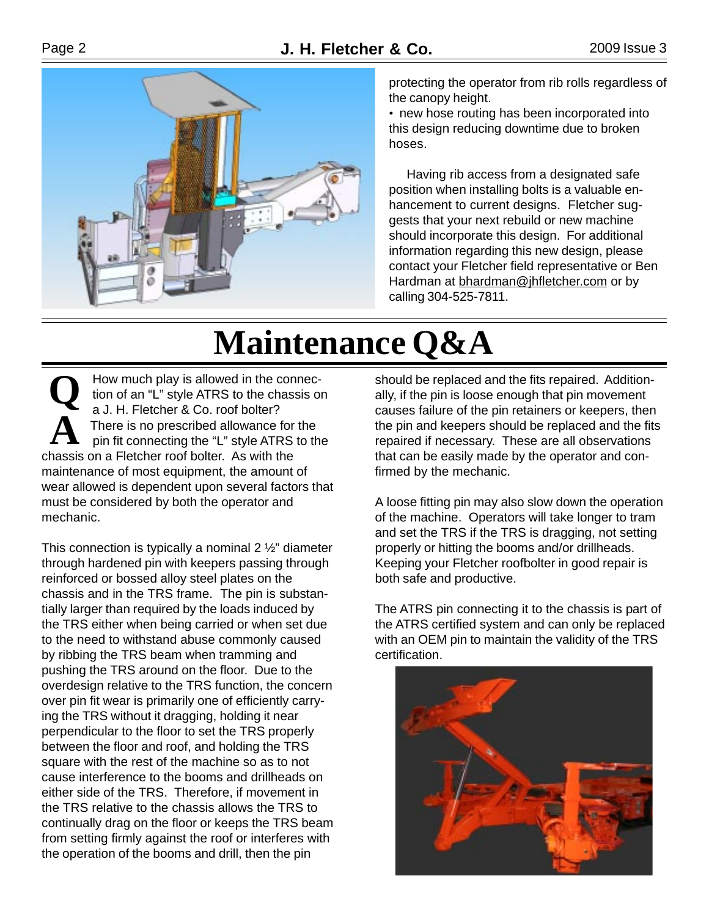

protecting the operator from rib rolls regardless of the canopy height.

• new hose routing has been incorporated into this design reducing downtime due to broken hoses.

 Having rib access from a designated safe position when installing bolts is a valuable enhancement to current designs. Fletcher suggests that your next rebuild or new machine should incorporate this design. For additional information regarding this new design, please contact your Fletcher field representative or Ben Hardman at bhardman@jhfletcher.com or by calling 304-525-7811.

# **Maintenance Q&A**

**Q A** How much play is allowed in the connection of an "L" style ATRS to the chassis on a J. H. Fletcher & Co. roof bolter? There is no prescribed allowance for the pin fit connecting the "L" style ATRS to the chassis on a Fletcher roof bolter. As with the maintenance of most equipment, the amount of wear allowed is dependent upon several factors that must be considered by both the operator and mechanic.

This connection is typically a nominal  $2\frac{1}{2}$ " diameter through hardened pin with keepers passing through reinforced or bossed alloy steel plates on the chassis and in the TRS frame. The pin is substantially larger than required by the loads induced by the TRS either when being carried or when set due to the need to withstand abuse commonly caused by ribbing the TRS beam when tramming and pushing the TRS around on the floor. Due to the overdesign relative to the TRS function, the concern over pin fit wear is primarily one of efficiently carrying the TRS without it dragging, holding it near perpendicular to the floor to set the TRS properly between the floor and roof, and holding the TRS square with the rest of the machine so as to not cause interference to the booms and drillheads on either side of the TRS. Therefore, if movement in the TRS relative to the chassis allows the TRS to continually drag on the floor or keeps the TRS beam from setting firmly against the roof or interferes with the operation of the booms and drill, then the pin

should be replaced and the fits repaired. Additionally, if the pin is loose enough that pin movement causes failure of the pin retainers or keepers, then the pin and keepers should be replaced and the fits repaired if necessary. These are all observations that can be easily made by the operator and confirmed by the mechanic.

A loose fitting pin may also slow down the operation of the machine. Operators will take longer to tram and set the TRS if the TRS is dragging, not setting properly or hitting the booms and/or drillheads. Keeping your Fletcher roofbolter in good repair is both safe and productive.

The ATRS pin connecting it to the chassis is part of the ATRS certified system and can only be replaced with an OEM pin to maintain the validity of the TRS certification.

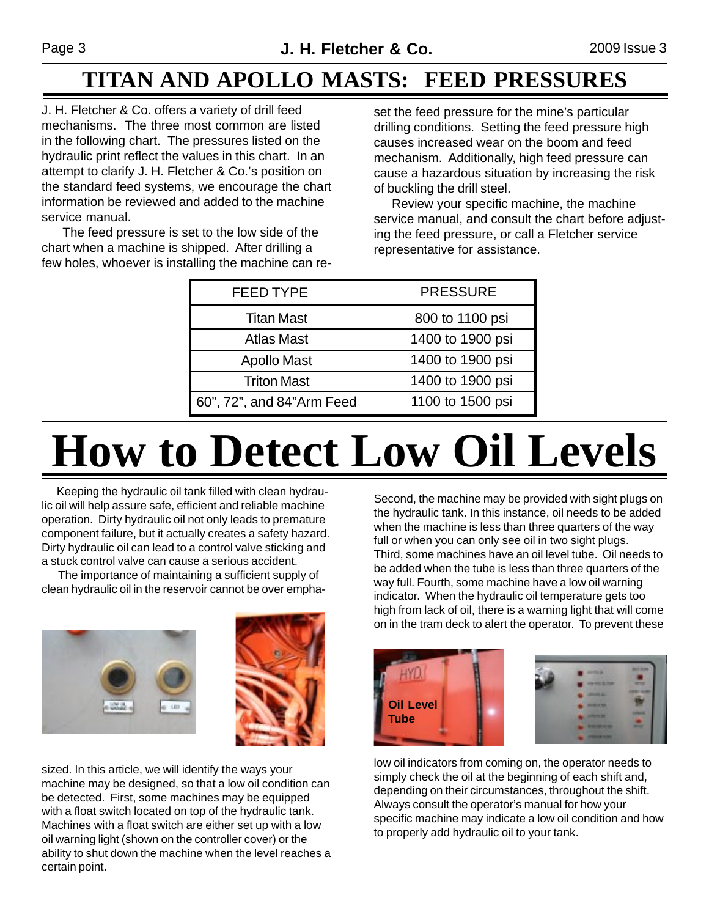## **TITAN AND APOLLO MASTS: FEED PRESSURES**

J. H. Fletcher & Co. offers a variety of drill feed mechanisms. The three most common are listed in the following chart. The pressures listed on the hydraulic print reflect the values in this chart. In an attempt to clarify J. H. Fletcher & Co.'s position on the standard feed systems, we encourage the chart information be reviewed and added to the machine service manual.

 The feed pressure is set to the low side of the chart when a machine is shipped. After drilling a few holes, whoever is installing the machine can reset the feed pressure for the mine's particular drilling conditions. Setting the feed pressure high causes increased wear on the boom and feed mechanism. Additionally, high feed pressure can cause a hazardous situation by increasing the risk of buckling the drill steel.

 Review your specific machine, the machine service manual, and consult the chart before adjusting the feed pressure, or call a Fletcher service representative for assistance.

| <b>FEED TYPE</b>          | <b>PRESSURE</b>  |
|---------------------------|------------------|
| <b>Titan Mast</b>         | 800 to 1100 psi  |
| <b>Atlas Mast</b>         | 1400 to 1900 psi |
| <b>Apollo Mast</b>        | 1400 to 1900 psi |
| <b>Triton Mast</b>        | 1400 to 1900 psi |
| 60", 72", and 84"Arm Feed | 1100 to 1500 psi |

# **How to Detect Low Oil Levels**

 Keeping the hydraulic oil tank filled with clean hydraulic oil will help assure safe, efficient and reliable machine operation. Dirty hydraulic oil not only leads to premature component failure, but it actually creates a safety hazard. Dirty hydraulic oil can lead to a control valve sticking and a stuck control valve can cause a serious accident.

 The importance of maintaining a sufficient supply of clean hydraulic oil in the reservoir cannot be over empha-



sized. In this article, we will identify the ways your machine may be designed, so that a low oil condition can be detected. First, some machines may be equipped with a float switch located on top of the hydraulic tank. Machines with a float switch are either set up with a low oil warning light (shown on the controller cover) or the ability to shut down the machine when the level reaches a certain point.

Second, the machine may be provided with sight plugs on the hydraulic tank. In this instance, oil needs to be added when the machine is less than three quarters of the way full or when you can only see oil in two sight plugs. Third, some machines have an oil level tube. Oil needs to be added when the tube is less than three quarters of the way full. Fourth, some machine have a low oil warning indicator. When the hydraulic oil temperature gets too high from lack of oil, there is a warning light that will come on in the tram deck to alert the operator. To prevent these



low oil indicators from coming on, the operator needs to simply check the oil at the beginning of each shift and, depending on their circumstances, throughout the shift. Always consult the operator's manual for how your specific machine may indicate a low oil condition and how to properly add hydraulic oil to your tank.